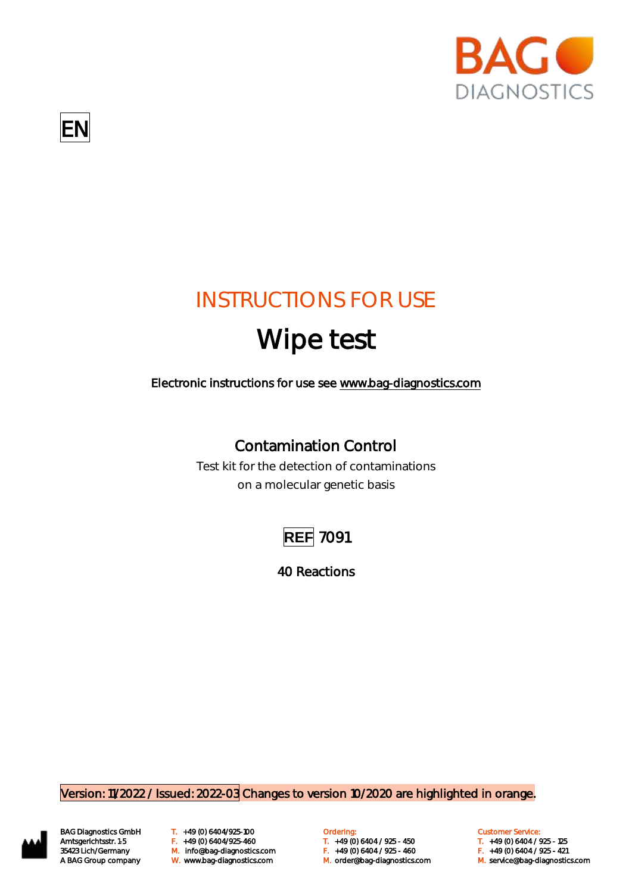



# INSTRUCTIONS FOR USE

# Wipe test

Electronic instructions for use see [www.bag-diagnostics.com](http://www.bag-diagnostics.com/) 

## Contamination Control

Test kit for the detection of contaminations on a molecular genetic basis



40 Reactions

Version: 11/2022 / Issued: 2022-03 Changes to version 10/2020 are highlighted in orange.



BAG Diagnostics GmbH T. +49 (0) 6404/925-100 **Cambridge Condering:** Customer Service: Customer Service: M. orderlang-Amtsgerichtsstr. 1-5 F. +49 (0) 6404/925-460 T. +49 (0) 6404 / 925 - 450 T. +49 (0) 6404 / 925 - 125 35423 Lich/Germany M. info@bag-diagnostics.com F. +49 (0) 6404 / 925 - 460 F. +49 (0) 6404 / 925 - 421

- 
- A BAG Group company W. www.bag-diagnostics.com M. order@bag-diagnostics.com M. service@bag-diagnostics.com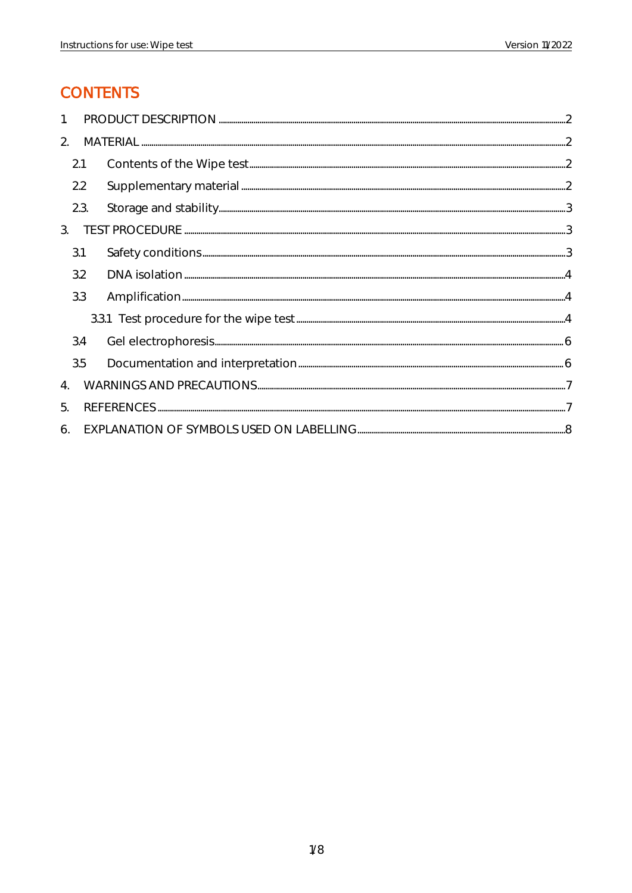### **CONTENTS**

| 2.               |      |  |  |  |  |
|------------------|------|--|--|--|--|
|                  | 2.1  |  |  |  |  |
|                  | 2.2  |  |  |  |  |
|                  | 2.3. |  |  |  |  |
| 3.               |      |  |  |  |  |
|                  | 3.1  |  |  |  |  |
|                  | 3.2  |  |  |  |  |
|                  | 3.3  |  |  |  |  |
|                  |      |  |  |  |  |
|                  | 3.4  |  |  |  |  |
|                  | 3.5  |  |  |  |  |
| $\overline{4}$ . |      |  |  |  |  |
| 5.               |      |  |  |  |  |
| 6.               |      |  |  |  |  |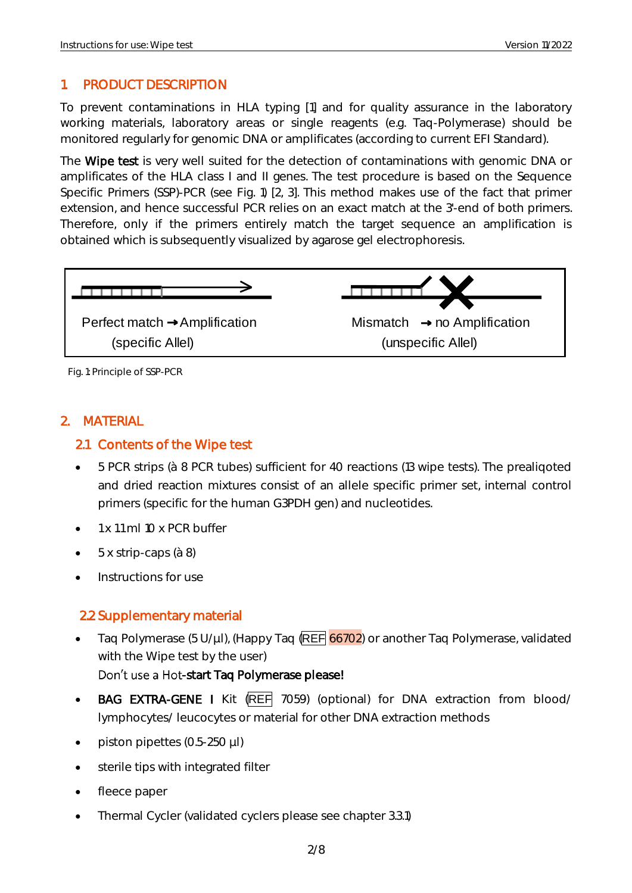#### <span id="page-2-0"></span>1. PRODUCT DESCRIPTION

To prevent contaminations in HLA typing [1] and for quality assurance in the laboratory working materials, laboratory areas or single reagents (e.g. Taq-Polymerase) should be monitored regularly for genomic DNA or amplificates (according to current EFI Standard).

The Wipe test is very well suited for the detection of contaminations with genomic DNA or amplificates of the HLA class I and II genes. The test procedure is based on the Sequence Specific Primers (SSP)-PCR (see Fig. 1) [2, 3]. This method makes use of the fact that primer extension, and hence successful PCR relies on an exact match at the 3'-end of both primers. Therefore, only if the primers entirely match the target sequence an amplification is obtained which is subsequently visualized by agarose gel electrophoresis.



Fig. 1: Principle of SSP-PCR

#### <span id="page-2-1"></span>2. MATERIAL

#### <span id="page-2-2"></span>2.1 Contents of the Wipe test

- 5 PCR strips (à 8 PCR tubes) sufficient for 40 reactions (13 wipe tests). The prealiqoted and dried reaction mixtures consist of an allele specific primer set, internal control primers (specific for the human G3PDH gen) and nucleotides.
- 1 x 1.1 ml 10 x PCR buffer
- 5 x strip-caps (à 8)
- Instructions for use

#### <span id="page-2-3"></span>2.2 Supplementary material

- Taq Polymerase (5 U/µl), (Happy Taq  $(REF 66702)$  or another Taq Polymerase, validated with the Wipe test by the user)
	- Don't use a Hot-start Taq Polymerase please!
- BAG EXTRA-GENE I Kit (REF 7059) (optional) for DNA extraction from blood/ lymphocytes/ leucocytes or material for other DNA extraction methods
- piston pipettes (0.5-250 µl)
- sterile tips with integrated filter
- fleece paper
- Thermal Cycler (validated cyclers please see chapter 3.3.1)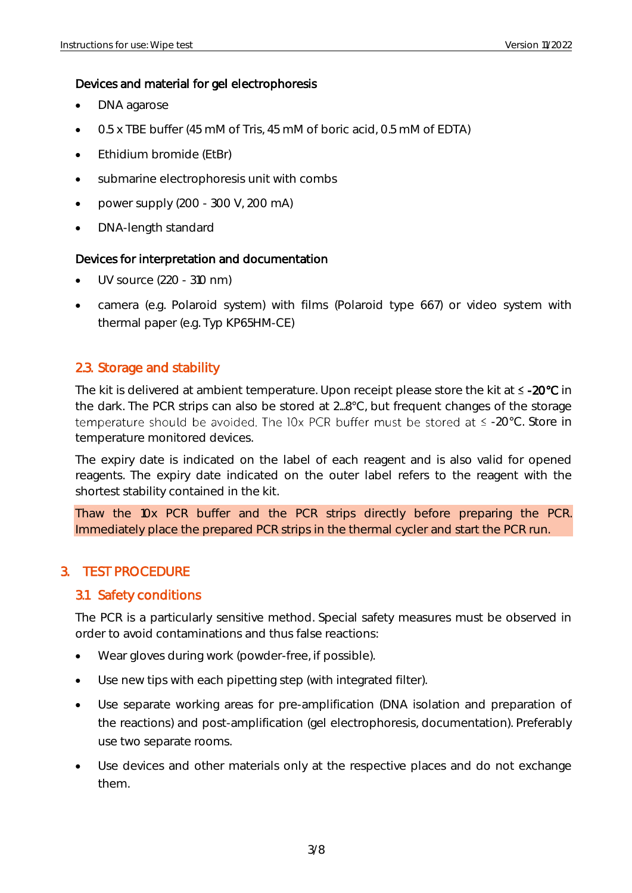#### Devices and material for gel electrophoresis

- DNA agarose
- 0.5 x TBE buffer (45 mM of Tris, 45 mM of boric acid, 0.5 mM of EDTA)
- Ethidium bromide (EtBr)
- submarine electrophoresis unit with combs
- power supply  $(200 300 V, 200 mA)$
- DNA-length standard

#### Devices for interpretation and documentation

- UV source (220 310 nm)
- camera (e.g. Polaroid system) with films (Polaroid type 667) or video system with thermal paper (e.g. Typ KP65HM-CE)

#### <span id="page-3-0"></span>2.3. Storage and stability

The kit is delivered at ambient temperature. Upon receipt please store the kit at  $\leq$  -20°C in the dark. The PCR strips can also be stored at 2...8°C, but frequent changes of the storage temperature should be avoided. The IOx PCR buffer must be stored at  $\leq$  -20°C. Store in temperature monitored devices.

The expiry date is indicated on the label of each reagent and is also valid for opened reagents. The expiry date indicated on the outer label refers to the reagent with the shortest stability contained in the kit.

Thaw the 10x PCR buffer and the PCR strips directly before preparing the PCR. Immediately place the prepared PCR strips in the thermal cycler and start the PCR run.

#### <span id="page-3-2"></span><span id="page-3-1"></span>3. TEST PROCEDURE

#### 3.1 Safety conditions

The PCR is a particularly sensitive method. Special safety measures must be observed in order to avoid contaminations and thus false reactions:

- Wear gloves during work (powder-free, if possible).
- Use new tips with each pipetting step (with integrated filter).
- Use separate working areas for pre-amplification (DNA isolation and preparation of the reactions) and post-amplification (gel electrophoresis, documentation). Preferably use two separate rooms.
- Use devices and other materials only at the respective places and do not exchange them.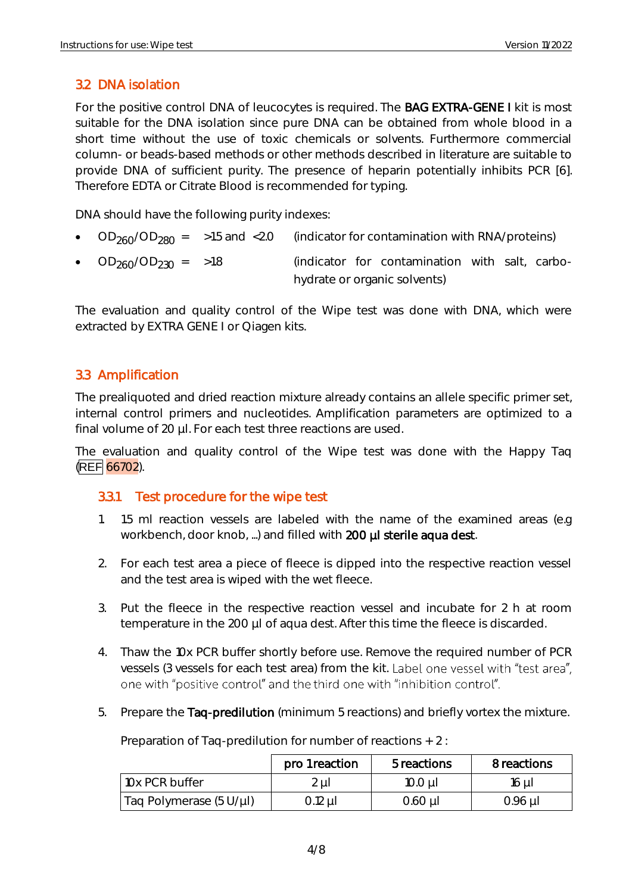#### <span id="page-4-0"></span>3.2 DNA isolation

For the positive control DNA of leucocytes is required. The BAG EXTRA-GENE I kit is most suitable for the DNA isolation since pure DNA can be obtained from whole blood in a short time without the use of toxic chemicals or solvents. Furthermore commercial column- or beads-based methods or other methods described in literature are suitable to provide DNA of sufficient purity. The presence of heparin potentially inhibits PCR [6]. Therefore EDTA or Citrate Blood is recommended for typing.

DNA should have the following purity indexes:

- $OD<sub>260</sub>/OD<sub>280</sub>$  = >1.5 and <2.0 (indicator for contamination with RNA/proteins)
- $OD_{260}/OD_{230}$  = >1.8 (indicator for contamination with salt, carbohydrate or organic solvents)

The evaluation and quality control of the Wipe test was done with DNA, which were extracted by EXTRA GENE I or Qiagen kits.

#### <span id="page-4-1"></span>3.3 Amplification

The prealiquoted and dried reaction mixture already contains an allele specific primer set, internal control primers and nucleotides. Amplification parameters are optimized to a final volume of 20 µl. For each test three reactions are used.

The evaluation and quality control of the Wipe test was done with the Happy Taq (REF 66702).

#### <span id="page-4-2"></span>3.3.1 Test procedure for the wipe test

- 1. 1.5 ml reaction vessels are labeled with the name of the examined areas (e.g workbench, door knob, ...) and filled with 200 µl sterile aqua dest.
- 2. For each test area a piece of fleece is dipped into the respective reaction vessel and the test area is wiped with the wet fleece.
- 3. Put the fleece in the respective reaction vessel and incubate for 2 h at room temperature in the 200 µl of aqua dest. After this time the fleece is discarded.
- 4. Thaw the 10x PCR buffer shortly before use. Remove the required number of PCR vessels (3 vessels for each test area) from the kit. Label one vessel with "test area", one with "positive control" and the third one with "inhibition control".
- 5. Prepare the Taq-predilution (minimum 5 reactions) and briefly vortex the mixture.

pro 1 reaction  $\vert$  5 reactions  $\vert$  8 reactions 10x PCR buffer 10.0 µl 10.0 µl 16 µl Taq Polymerase (5 U/µl)  $\begin{vmatrix} 0.12 \mu & 0.60 \mu & 0.96 \mu \end{vmatrix}$ 

Preparation of Taq-predilution for number of reactions + 2 :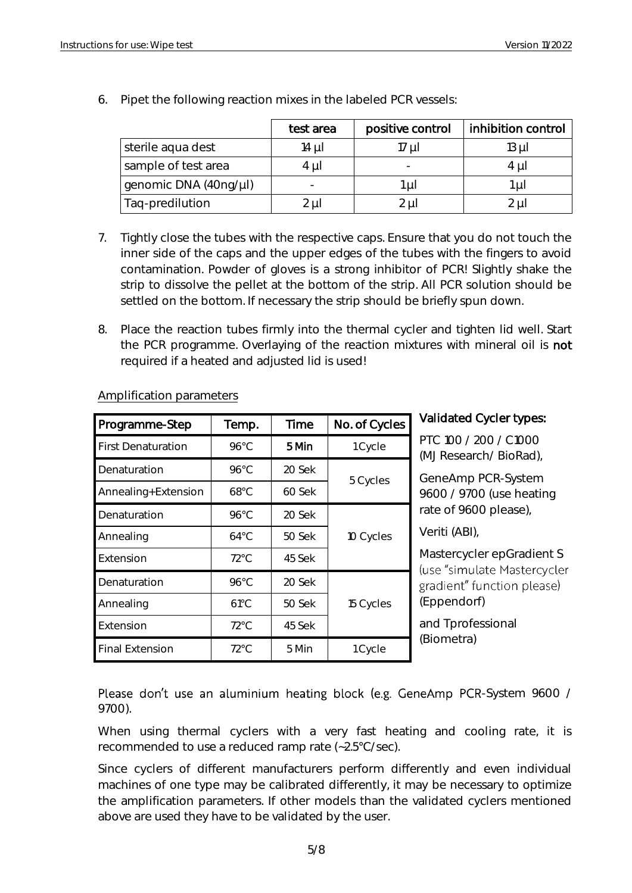|                       | test area | positive control | inhibition control |
|-----------------------|-----------|------------------|--------------------|
| sterile aqua dest     | 14 µI     | ' ul             | 13 µI              |
| sample of test area   | 4 µI      |                  | 4 UI               |
| genomic DNA (40ng/µl) |           | ul               | uı                 |
| Taq-predilution       | 2 µl      | ! ul             | 2 ul               |

6. Pipet the following reaction mixes in the labeled PCR vessels:

- 7. Tightly close the tubes with the respective caps. Ensure that you do not touch the inner side of the caps and the upper edges of the tubes with the fingers to avoid contamination. Powder of gloves is a strong inhibitor of PCR! Slightly shake the strip to dissolve the pellet at the bottom of the strip. All PCR solution should be settled on the bottom. If necessary the strip should be briefly spun down.
- 8. Place the reaction tubes firmly into the thermal cycler and tighten lid well. Start the PCR programme. Overlaying of the reaction mixtures with mineral oil is not required if a heated and adjusted lid is used!

| Programme-Step            | Temp.          | Time   | No. of Cycles | Valic        |  |
|---------------------------|----------------|--------|---------------|--------------|--|
| <b>First Denaturation</b> | 96°C           | 5 Min  | 1 Cycle       | PTC<br>(MJF  |  |
| Denaturation              | 96°C           | 20 Sek |               | Gene         |  |
| Annealing+Extension       | $68^{\circ}$ C | 60 Sek | 5 Cycles      | 9600         |  |
| Denaturation              | 96°C           | 20 Sek |               | rate         |  |
| Annealing                 | $64^{\circ}$ C | 50 Sek | 10 Cycles     | Verit        |  |
| Extension                 | $72^{\circ}$ C | 45 Sek |               | Mast<br>(use |  |
| Denaturation              | 96°C           | 20 Sek |               | grad         |  |
| Annealing                 | $61^{\circ}$ C | 50 Sek | 15 Cycles     | (Epp         |  |
| Extension                 | $72^{\circ}$ C | 45 Sek |               | and          |  |
| <b>Final Extension</b>    | $72^{\circ}$ C | 5 Min  | 1 Cycle       | (Bior        |  |

#### Amplification parameters

#### dated Cycler types:

PTC 100 / 200 / C1000 Research/BioRad),

eAmp PCR-System 0 / 9700 (use heating of 9600 please),

:i (ABI),

ercycler epGradient S "simulate Mastercycler ient" function please) endorf) Tprofessional

netra)

Please don't use an aluminium heating block (e.g. GeneAmp PCR-System 9600 / 9700).

When using thermal cyclers with a very fast heating and cooling rate, it is recommended to use a reduced ramp rate (~2.5°C/sec).

Since cyclers of different manufacturers perform differently and even individual machines of one type may be calibrated differently, it may be necessary to optimize the amplification parameters. If other models than the validated cyclers mentioned above are used they have to be validated by the user.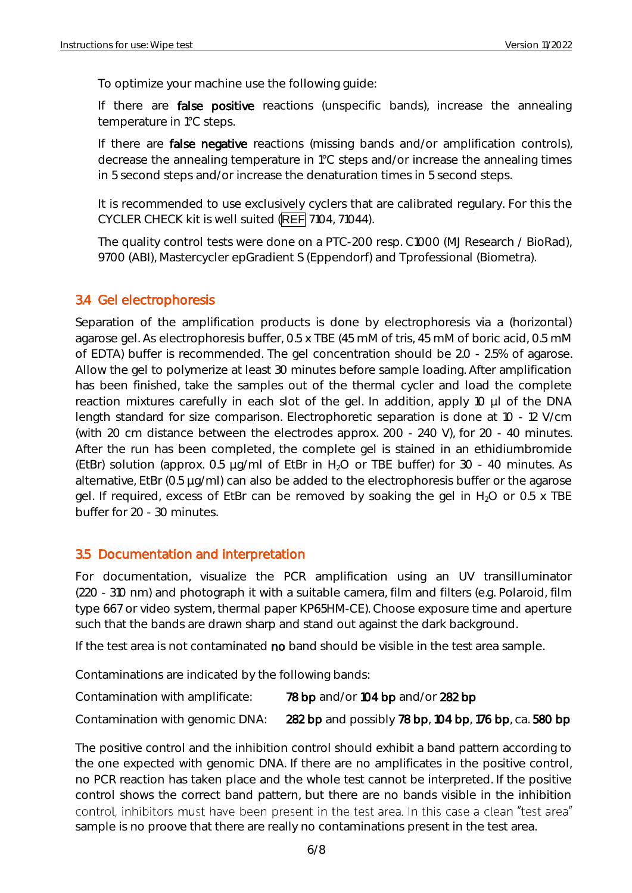To optimize your machine use the following guide:

If there are **false positive** reactions (unspecific bands), increase the annealing temperature in 1°C steps.

If there are false negative reactions (missing bands and/or amplification controls), decrease the annealing temperature in 1°C steps and/or increase the annealing times in 5 second steps and/or increase the denaturation times in 5 second steps.

It is recommended to use exclusively cyclers that are calibrated regulary. For this the CYCLER CHECK kit is well suited (REF 7104, 71044).

The quality control tests were done on a PTC-200 resp. C1000 (MJ Research / BioRad), 9700 (ABI), Mastercycler epGradient S (Eppendorf) and Tprofessional (Biometra).

#### <span id="page-6-0"></span>3.4 Gel electrophoresis

Separation of the amplification products is done by electrophoresis via a (horizontal) agarose gel. As electrophoresis buffer, 0.5 x TBE (45 mM of tris, 45 mM of boric acid, 0.5 mM of EDTA) buffer is recommended. The gel concentration should be 2.0 - 2.5% of agarose. Allow the gel to polymerize at least 30 minutes before sample loading. After amplification has been finished, take the samples out of the thermal cycler and load the complete reaction mixtures carefully in each slot of the gel. In addition, apply 10 µl of the DNA length standard for size comparison. Electrophoretic separation is done at 10 - 12 V/cm (with 20 cm distance between the electrodes approx. 200 - 240 V), for 20 - 40 minutes. After the run has been completed, the complete gel is stained in an ethidiumbromide (EtBr) solution (approx. 0.5  $\mu$ g/ml of EtBr in H<sub>2</sub>O or TBE buffer) for 30 - 40 minutes. As alternative, EtBr (0.5 µg/ml) can also be added to the electrophoresis buffer or the agarose gel. If required, excess of EtBr can be removed by soaking the gel in  $H_2O$  or 0.5 x TBE buffer for 20 - 30 minutes.

#### <span id="page-6-1"></span>3.5 Documentation and interpretation

For documentation, visualize the PCR amplification using an UV transilluminator (220 - 310 nm) and photograph it with a suitable camera, film and filters (e.g. Polaroid, film type 667 or video system, thermal paper KP65HM-CE). Choose exposure time and aperture such that the bands are drawn sharp and stand out against the dark background.

If the test area is not contaminated no band should be visible in the test area sample.

Contaminations are indicated by the following bands:

Contamination with amplificate: 78 bp and/or 104 bp and/or 282 bp

Contamination with genomic DNA: 282 bp and possibly 78 bp, 104 bp, 176 bp, ca. 580 bp

The positive control and the inhibition control should exhibit a band pattern according to the one expected with genomic DNA. If there are no amplificates in the positive control, no PCR reaction has taken place and the whole test cannot be interpreted. If the positive control shows the correct band pattern, but there are no bands visible in the inhibition control, inhibitors must have been present in the test area. In this case a clean "test area" sample is no proove that there are really no contaminations present in the test area.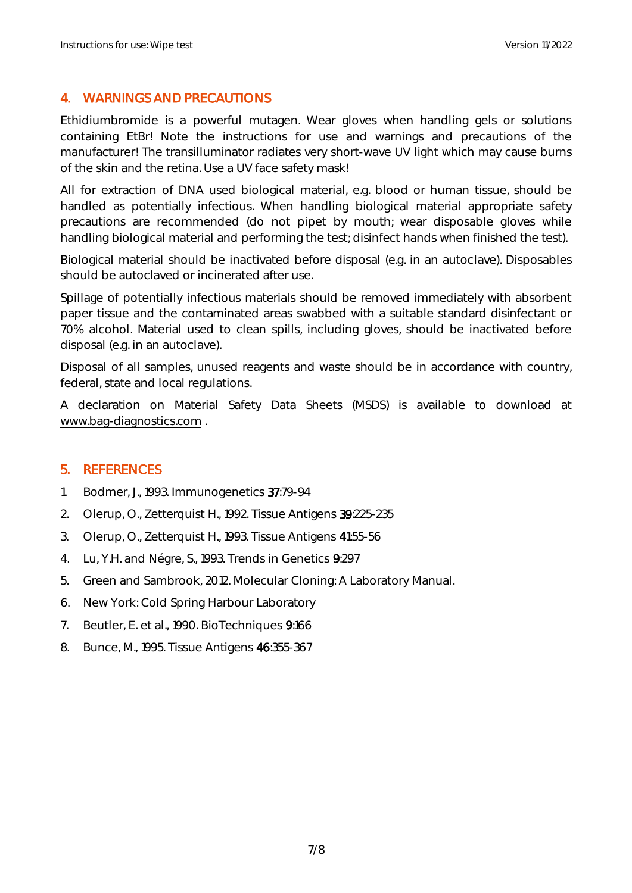#### <span id="page-7-0"></span>4. WARNINGS AND PRECAUTIONS

Ethidiumbromide is a powerful mutagen. Wear gloves when handling gels or solutions containing EtBr! Note the instructions for use and warnings and precautions of the manufacturer! The transilluminator radiates very short-wave UV light which may cause burns of the skin and the retina. Use a UV face safety mask!

All for extraction of DNA used biological material, e.g. blood or human tissue, should be handled as potentially infectious. When handling biological material appropriate safety precautions are recommended (do not pipet by mouth; wear disposable gloves while handling biological material and performing the test; disinfect hands when finished the test).

Biological material should be inactivated before disposal (e.g. in an autoclave). Disposables should be autoclaved or incinerated after use.

Spillage of potentially infectious materials should be removed immediately with absorbent paper tissue and the contaminated areas swabbed with a suitable standard disinfectant or 70% alcohol. Material used to clean spills, including gloves, should be inactivated before disposal (e.g. in an autoclave).

Disposal of all samples, unused reagents and waste should be in accordance with country, federal, state and local regulations.

A declaration on Material Safety Data Sheets (MSDS) is available to download at [www.bag-diagnostics.com](http://www.bag-diagnostics.com/) .

#### <span id="page-7-1"></span>5. REFERENCES

- 1. Bodmer, J., 1993. Immunogenetics 37:79-94
- 2. Olerup, O., Zetterquist H., 1992. Tissue Antigens 39:225-235
- 3. Olerup, O., Zetterquist H., 1993. Tissue Antigens 41:55-56
- 4. Lu, Y.H. and Négre, S., 1993. Trends in Genetics 9:297
- 5. Green and Sambrook, 2012. Molecular Cloning: A Laboratory Manual.
- 6. New York: Cold Spring Harbour Laboratory
- 7. Beutler, E. et al., 1990. BioTechniques 9:166
- 8. Bunce, M., 1995. Tissue Antigens 46:355-367